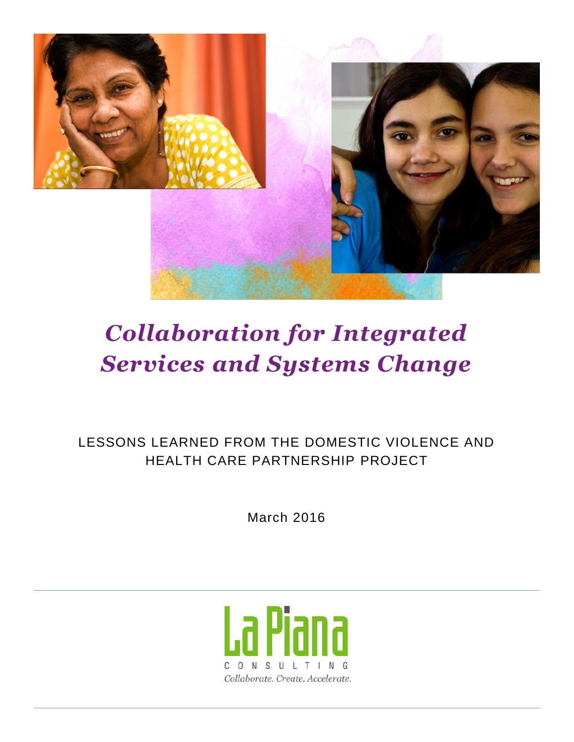

# *Collaboration for Integrated Services and Systems Change*

LESSONS LEARNED FROM THE DOMESTIC VIOLENCE AND HEALTH CARE PARTNERSHIP PROJECT

March 2016

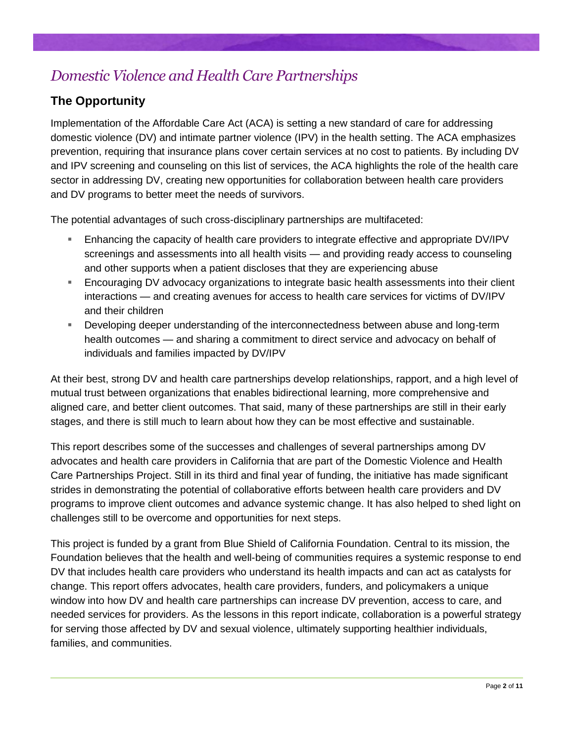# *Domestic Violence and Health Care Partnerships*

### **The Opportunity**

Implementation of the Affordable Care Act (ACA) is setting a new standard of care for addressing domestic violence (DV) and intimate partner violence (IPV) in the health setting. The ACA emphasizes prevention, requiring that insurance plans cover certain services at no cost to patients. By including DV and IPV screening and counseling on this list of services, the ACA highlights the role of the health care sector in addressing DV, creating new opportunities for collaboration between health care providers and DV programs to better meet the needs of survivors.

The potential advantages of such cross-disciplinary partnerships are multifaceted:

- Enhancing the capacity of health care providers to integrate effective and appropriate DV/IPV screenings and assessments into all health visits — and providing ready access to counseling and other supports when a patient discloses that they are experiencing abuse
- Encouraging DV advocacy organizations to integrate basic health assessments into their client interactions — and creating avenues for access to health care services for victims of DV/IPV and their children
- Developing deeper understanding of the interconnectedness between abuse and long-term health outcomes — and sharing a commitment to direct service and advocacy on behalf of individuals and families impacted by DV/IPV

At their best, strong DV and health care partnerships develop relationships, rapport, and a high level of mutual trust between organizations that enables bidirectional learning, more comprehensive and aligned care, and better client outcomes. That said, many of these partnerships are still in their early stages, and there is still much to learn about how they can be most effective and sustainable.

This report describes some of the successes and challenges of several partnerships among DV advocates and health care providers in California that are part of the Domestic Violence and Health Care Partnerships Project. Still in its third and final year of funding, the initiative has made significant strides in demonstrating the potential of collaborative efforts between health care providers and DV programs to improve client outcomes and advance systemic change. It has also helped to shed light on challenges still to be overcome and opportunities for next steps.

This project is funded by a grant from Blue Shield of California Foundation. Central to its mission, the Foundation believes that the health and well-being of communities requires a systemic response to end DV that includes health care providers who understand its health impacts and can act as catalysts for change. This report offers advocates, health care providers, funders, and policymakers a unique window into how DV and health care partnerships can increase DV prevention, access to care, and needed services for providers. As the lessons in this report indicate, collaboration is a powerful strategy for serving those affected by DV and sexual violence, ultimately supporting healthier individuals, families, and communities.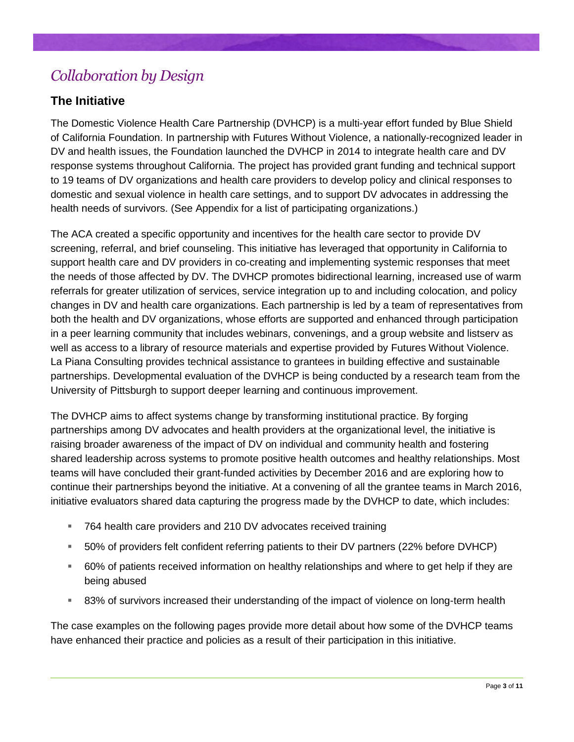# *Collaboration by Design*

#### **The Initiative**

The Domestic Violence Health Care Partnership (DVHCP) is a multi-year effort funded by Blue Shield of California Foundation. In partnership with Futures Without Violence, a nationally-recognized leader in DV and health issues, the Foundation launched the DVHCP in 2014 to integrate health care and DV response systems throughout California. The project has provided grant funding and technical support to 19 teams of DV organizations and health care providers to develop policy and clinical responses to domestic and sexual violence in health care settings, and to support DV advocates in addressing the health needs of survivors. (See Appendix for a list of participating organizations.)

The ACA created a specific opportunity and incentives for the health care sector to provide DV screening, referral, and brief counseling. This initiative has leveraged that opportunity in California to support health care and DV providers in co-creating and implementing systemic responses that meet the needs of those affected by DV. The DVHCP promotes bidirectional learning, increased use of warm referrals for greater utilization of services, service integration up to and including colocation, and policy changes in DV and health care organizations. Each partnership is led by a team of representatives from both the health and DV organizations, whose efforts are supported and enhanced through participation in a peer learning community that includes webinars, convenings, and a group website and listserv as well as access to a library of resource materials and expertise provided by Futures Without Violence. La Piana Consulting provides technical assistance to grantees in building effective and sustainable partnerships. Developmental evaluation of the DVHCP is being conducted by a research team from the University of Pittsburgh to support deeper learning and continuous improvement.

The DVHCP aims to affect systems change by transforming institutional practice. By forging partnerships among DV advocates and health providers at the organizational level, the initiative is raising broader awareness of the impact of DV on individual and community health and fostering shared leadership across systems to promote positive health outcomes and healthy relationships. Most teams will have concluded their grant-funded activities by December 2016 and are exploring how to continue their partnerships beyond the initiative. At a convening of all the grantee teams in March 2016, initiative evaluators shared data capturing the progress made by the DVHCP to date, which includes:

- 764 health care providers and 210 DV advocates received training
- 50% of providers felt confident referring patients to their DV partners (22% before DVHCP)
- 60% of patients received information on healthy relationships and where to get help if they are being abused
- 83% of survivors increased their understanding of the impact of violence on long-term health

The case examples on the following pages provide more detail about how some of the DVHCP teams have enhanced their practice and policies as a result of their participation in this initiative.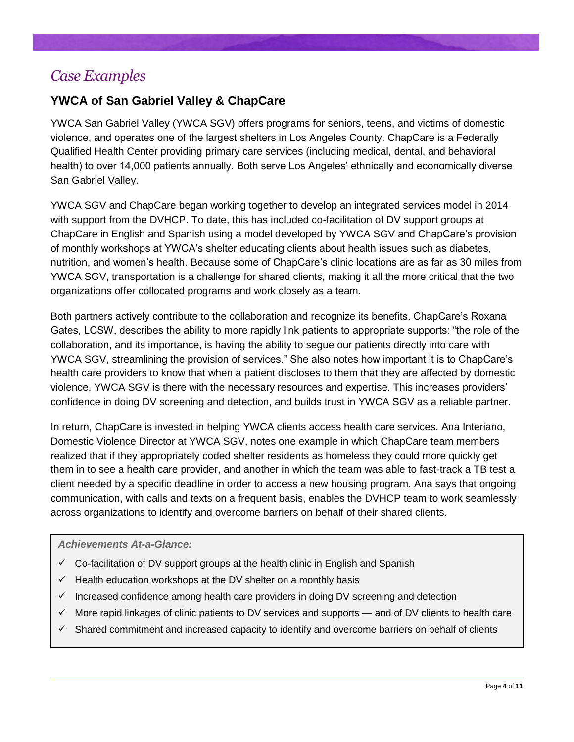### *Case Examples*

### **YWCA of San Gabriel Valley & ChapCare**

YWCA San Gabriel Valley (YWCA SGV) offers programs for seniors, teens, and victims of domestic violence, and operates one of the largest shelters in Los Angeles County. ChapCare is a Federally Qualified Health Center providing primary care services (including medical, dental, and behavioral health) to over 14,000 patients annually. Both serve Los Angeles' ethnically and economically diverse San Gabriel Valley.

YWCA SGV and ChapCare began working together to develop an integrated services model in 2014 with support from the DVHCP. To date, this has included co-facilitation of DV support groups at ChapCare in English and Spanish using a model developed by YWCA SGV and ChapCare's provision of monthly workshops at YWCA's shelter educating clients about health issues such as diabetes, nutrition, and women's health. Because some of ChapCare's clinic locations are as far as 30 miles from YWCA SGV, transportation is a challenge for shared clients, making it all the more critical that the two organizations offer collocated programs and work closely as a team.

Both partners actively contribute to the collaboration and recognize its benefits. ChapCare's Roxana Gates, LCSW, describes the ability to more rapidly link patients to appropriate supports: "the role of the collaboration, and its importance, is having the ability to segue our patients directly into care with YWCA SGV, streamlining the provision of services." She also notes how important it is to ChapCare's health care providers to know that when a patient discloses to them that they are affected by domestic violence, YWCA SGV is there with the necessary resources and expertise. This increases providers' confidence in doing DV screening and detection, and builds trust in YWCA SGV as a reliable partner.

In return, ChapCare is invested in helping YWCA clients access health care services. Ana Interiano, Domestic Violence Director at YWCA SGV, notes one example in which ChapCare team members realized that if they appropriately coded shelter residents as homeless they could more quickly get them in to see a health care provider, and another in which the team was able to fast-track a TB test a client needed by a specific deadline in order to access a new housing program. Ana says that ongoing communication, with calls and texts on a frequent basis, enables the DVHCP team to work seamlessly across organizations to identify and overcome barriers on behalf of their shared clients.

#### *Achievements At-a-Glance:*

- $\checkmark$  Co-facilitation of DV support groups at the health clinic in English and Spanish
- $\checkmark$  Health education workshops at the DV shelter on a monthly basis
- $\checkmark$  Increased confidence among health care providers in doing DV screening and detection
- $\checkmark$  More rapid linkages of clinic patients to DV services and supports and of DV clients to health care
- $\checkmark$  Shared commitment and increased capacity to identify and overcome barriers on behalf of clients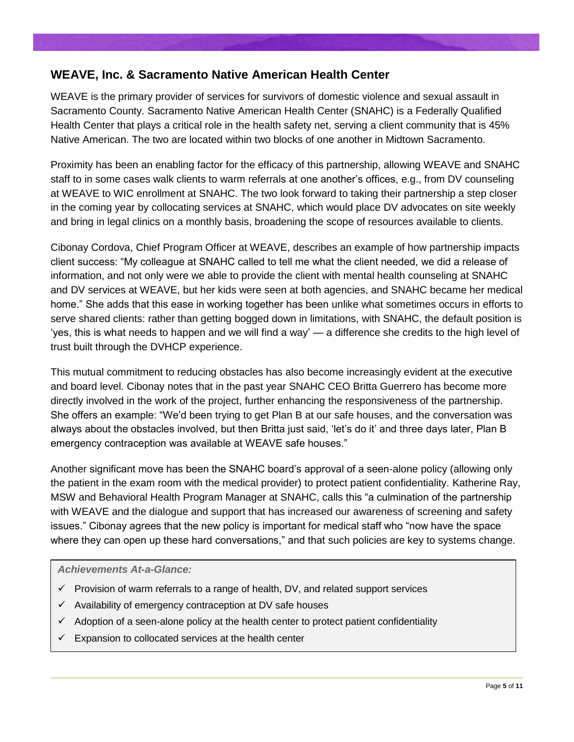#### **WEAVE, Inc. & Sacramento Native American Health Center**

WEAVE is the primary provider of services for survivors of domestic violence and sexual assault in Sacramento County. Sacramento Native American Health Center (SNAHC) is a Federally Qualified Health Center that plays a critical role in the health safety net, serving a client community that is 45% Native American. The two are located within two blocks of one another in Midtown Sacramento.

Proximity has been an enabling factor for the efficacy of this partnership, allowing WEAVE and SNAHC staff to in some cases walk clients to warm referrals at one another's offices, e.g., from DV counseling at WEAVE to WIC enrollment at SNAHC. The two look forward to taking their partnership a step closer in the coming year by collocating services at SNAHC, which would place DV advocates on site weekly and bring in legal clinics on a monthly basis, broadening the scope of resources available to clients.

Cibonay Cordova, Chief Program Officer at WEAVE, describes an example of how partnership impacts client success: "My colleague at SNAHC called to tell me what the client needed, we did a release of information, and not only were we able to provide the client with mental health counseling at SNAHC and DV services at WEAVE, but her kids were seen at both agencies, and SNAHC became her medical home." She adds that this ease in working together has been unlike what sometimes occurs in efforts to serve shared clients: rather than getting bogged down in limitations, with SNAHC, the default position is 'yes, this is what needs to happen and we will find a way' — a difference she credits to the high level of trust built through the DVHCP experience.

This mutual commitment to reducing obstacles has also become increasingly evident at the executive and board level. Cibonay notes that in the past year SNAHC CEO Britta Guerrero has become more directly involved in the work of the project, further enhancing the responsiveness of the partnership. She offers an example: "We'd been trying to get Plan B at our safe houses, and the conversation was always about the obstacles involved, but then Britta just said, 'let's do it' and three days later, Plan B emergency contraception was available at WEAVE safe houses."

Another significant move has been the SNAHC board's approval of a seen-alone policy (allowing only the patient in the exam room with the medical provider) to protect patient confidentiality. Katherine Ray, MSW and Behavioral Health Program Manager at SNAHC, calls this "a culmination of the partnership with WEAVE and the dialogue and support that has increased our awareness of screening and safety issues." Cibonay agrees that the new policy is important for medical staff who "now have the space where they can open up these hard conversations," and that such policies are key to systems change.

#### *Achievements At-a-Glance:*

- $\checkmark$  Provision of warm referrals to a range of health, DV, and related support services
- $\checkmark$  Availability of emergency contraception at DV safe houses
- $\checkmark$  Adoption of a seen-alone policy at the health center to protect patient confidentiality
- Expansion to collocated services at the health center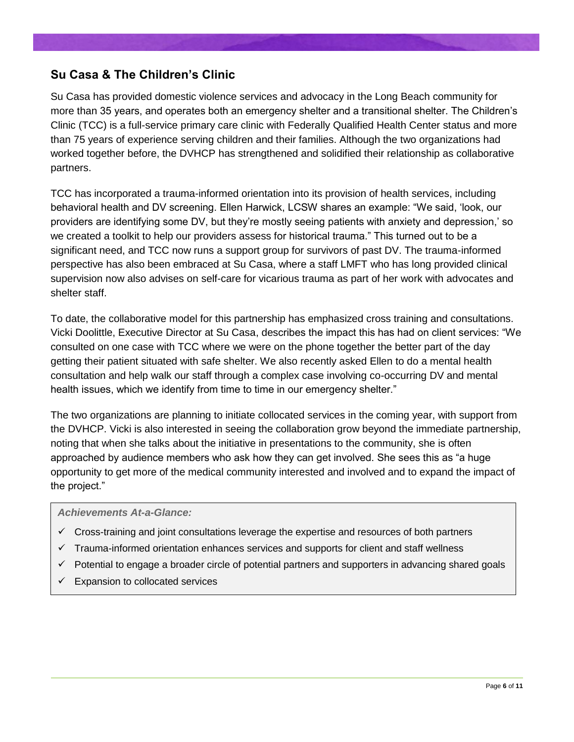#### **Su Casa & The Children's Clinic**

Su Casa has provided domestic violence services and advocacy in the Long Beach community for more than 35 years, and operates both an emergency shelter and a transitional shelter. The Children's Clinic (TCC) is a full-service primary care clinic with Federally Qualified Health Center status and more than 75 years of experience serving children and their families. Although the two organizations had worked together before, the DVHCP has strengthened and solidified their relationship as collaborative partners.

TCC has incorporated a trauma-informed orientation into its provision of health services, including behavioral health and DV screening. Ellen Harwick, LCSW shares an example: "We said, 'look, our providers are identifying some DV, but they're mostly seeing patients with anxiety and depression,' so we created a toolkit to help our providers assess for historical trauma." This turned out to be a significant need, and TCC now runs a support group for survivors of past DV. The trauma-informed perspective has also been embraced at Su Casa, where a staff LMFT who has long provided clinical supervision now also advises on self-care for vicarious trauma as part of her work with advocates and shelter staff.

To date, the collaborative model for this partnership has emphasized cross training and consultations. Vicki Doolittle, Executive Director at Su Casa, describes the impact this has had on client services: "We consulted on one case with TCC where we were on the phone together the better part of the day getting their patient situated with safe shelter. We also recently asked Ellen to do a mental health consultation and help walk our staff through a complex case involving co-occurring DV and mental health issues, which we identify from time to time in our emergency shelter."

The two organizations are planning to initiate collocated services in the coming year, with support from the DVHCP. Vicki is also interested in seeing the collaboration grow beyond the immediate partnership, noting that when she talks about the initiative in presentations to the community, she is often approached by audience members who ask how they can get involved. She sees this as "a huge opportunity to get more of the medical community interested and involved and to expand the impact of the project."

#### *Achievements At-a-Glance:*

- $\checkmark$  Cross-training and joint consultations leverage the expertise and resources of both partners
- $\checkmark$  Trauma-informed orientation enhances services and supports for client and staff wellness
- $\checkmark$  Potential to engage a broader circle of potential partners and supporters in advancing shared goals
- Expansion to collocated services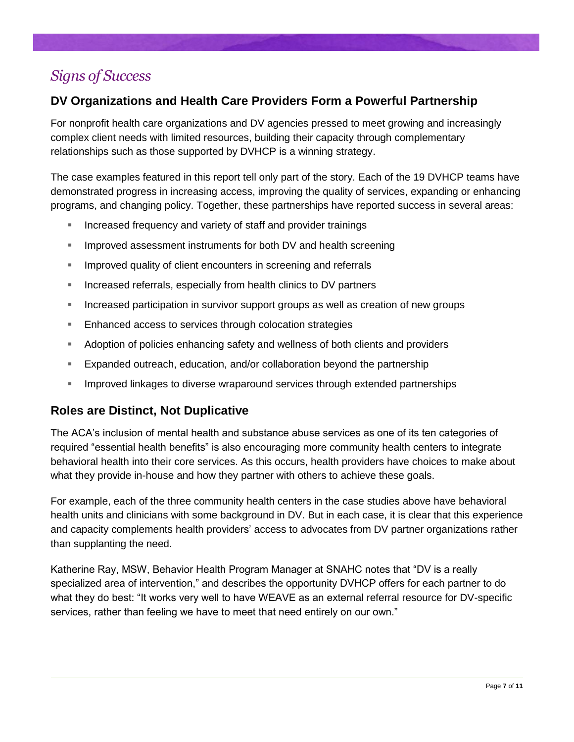### *Signs of Success*

### **DV Organizations and Health Care Providers Form a Powerful Partnership**

For nonprofit health care organizations and DV agencies pressed to meet growing and increasingly complex client needs with limited resources, building their capacity through complementary relationships such as those supported by DVHCP is a winning strategy.

The case examples featured in this report tell only part of the story. Each of the 19 DVHCP teams have demonstrated progress in increasing access, improving the quality of services, expanding or enhancing programs, and changing policy. Together, these partnerships have reported success in several areas:

- Increased frequency and variety of staff and provider trainings
- Improved assessment instruments for both DV and health screening
- Improved quality of client encounters in screening and referrals
- **Increased referrals, especially from health clinics to DV partners**
- Increased participation in survivor support groups as well as creation of new groups
- **Enhanced access to services through colocation strategies**
- Adoption of policies enhancing safety and wellness of both clients and providers
- Expanded outreach, education, and/or collaboration beyond the partnership
- **IMPROVED INCOVERGOVERGOVER IN A LOCAL EXTERNAL EXTENDING INCOVER INCOVER INCOVERGOVERGOVERGOVERGOVERGOVERGOVER**

#### **Roles are Distinct, Not Duplicative**

The ACA's inclusion of mental health and substance abuse services as one of its ten categories of required "essential health benefits" is also encouraging more community health centers to integrate behavioral health into their core services. As this occurs, health providers have choices to make about what they provide in-house and how they partner with others to achieve these goals.

For example, each of the three community health centers in the case studies above have behavioral health units and clinicians with some background in DV. But in each case, it is clear that this experience and capacity complements health providers' access to advocates from DV partner organizations rather than supplanting the need.

Katherine Ray, MSW, Behavior Health Program Manager at SNAHC notes that "DV is a really specialized area of intervention," and describes the opportunity DVHCP offers for each partner to do what they do best: "It works very well to have WEAVE as an external referral resource for DV-specific services, rather than feeling we have to meet that need entirely on our own."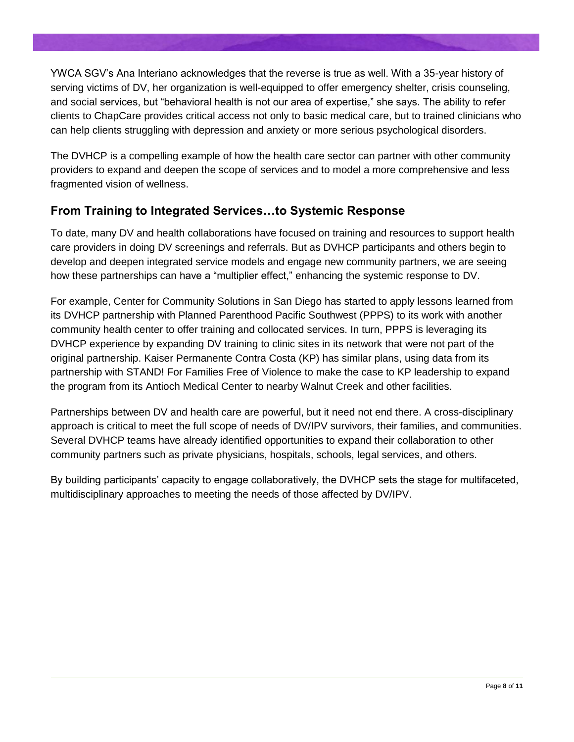YWCA SGV's Ana Interiano acknowledges that the reverse is true as well. With a 35-year history of serving victims of DV, her organization is well-equipped to offer emergency shelter, crisis counseling, and social services, but "behavioral health is not our area of expertise," she says. The ability to refer clients to ChapCare provides critical access not only to basic medical care, but to trained clinicians who can help clients struggling with depression and anxiety or more serious psychological disorders.

The DVHCP is a compelling example of how the health care sector can partner with other community providers to expand and deepen the scope of services and to model a more comprehensive and less fragmented vision of wellness.

### **From Training to Integrated Services…to Systemic Response**

To date, many DV and health collaborations have focused on training and resources to support health care providers in doing DV screenings and referrals. But as DVHCP participants and others begin to develop and deepen integrated service models and engage new community partners, we are seeing how these partnerships can have a "multiplier effect," enhancing the systemic response to DV.

For example, Center for Community Solutions in San Diego has started to apply lessons learned from its DVHCP partnership with Planned Parenthood Pacific Southwest (PPPS) to its work with another community health center to offer training and collocated services. In turn, PPPS is leveraging its DVHCP experience by expanding DV training to clinic sites in its network that were not part of the original partnership. Kaiser Permanente Contra Costa (KP) has similar plans, using data from its partnership with STAND! For Families Free of Violence to make the case to KP leadership to expand the program from its Antioch Medical Center to nearby Walnut Creek and other facilities.

Partnerships between DV and health care are powerful, but it need not end there. A cross-disciplinary approach is critical to meet the full scope of needs of DV/IPV survivors, their families, and communities. Several DVHCP teams have already identified opportunities to expand their collaboration to other community partners such as private physicians, hospitals, schools, legal services, and others.

By building participants' capacity to engage collaboratively, the DVHCP sets the stage for multifaceted, multidisciplinary approaches to meeting the needs of those affected by DV/IPV.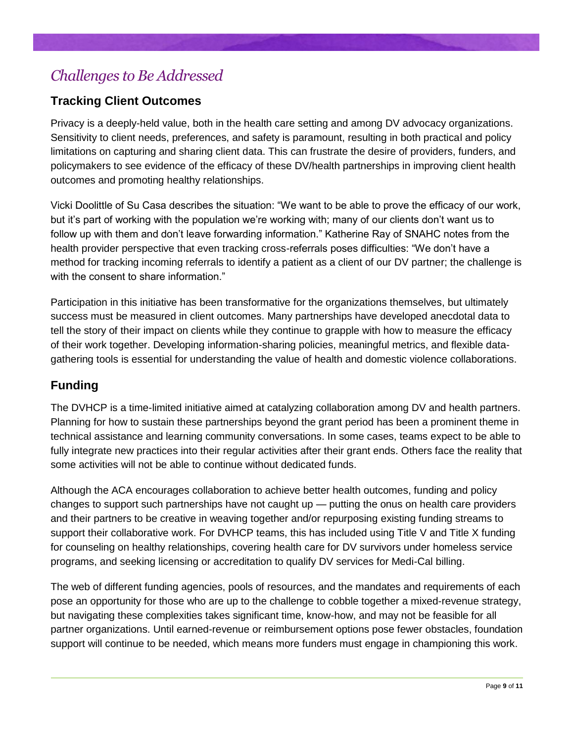# *Challenges to Be Addressed*

### **Tracking Client Outcomes**

Privacy is a deeply-held value, both in the health care setting and among DV advocacy organizations. Sensitivity to client needs, preferences, and safety is paramount, resulting in both practical and policy limitations on capturing and sharing client data. This can frustrate the desire of providers, funders, and policymakers to see evidence of the efficacy of these DV/health partnerships in improving client health outcomes and promoting healthy relationships.

Vicki Doolittle of Su Casa describes the situation: "We want to be able to prove the efficacy of our work, but it's part of working with the population we're working with; many of our clients don't want us to follow up with them and don't leave forwarding information." Katherine Ray of SNAHC notes from the health provider perspective that even tracking cross-referrals poses difficulties: "We don't have a method for tracking incoming referrals to identify a patient as a client of our DV partner; the challenge is with the consent to share information."

Participation in this initiative has been transformative for the organizations themselves, but ultimately success must be measured in client outcomes. Many partnerships have developed anecdotal data to tell the story of their impact on clients while they continue to grapple with how to measure the efficacy of their work together. Developing information-sharing policies, meaningful metrics, and flexible datagathering tools is essential for understanding the value of health and domestic violence collaborations.

### **Funding**

The DVHCP is a time-limited initiative aimed at catalyzing collaboration among DV and health partners. Planning for how to sustain these partnerships beyond the grant period has been a prominent theme in technical assistance and learning community conversations. In some cases, teams expect to be able to fully integrate new practices into their regular activities after their grant ends. Others face the reality that some activities will not be able to continue without dedicated funds.

Although the ACA encourages collaboration to achieve better health outcomes, funding and policy changes to support such partnerships have not caught up — putting the onus on health care providers and their partners to be creative in weaving together and/or repurposing existing funding streams to support their collaborative work. For DVHCP teams, this has included using Title V and Title X funding for counseling on healthy relationships, covering health care for DV survivors under homeless service programs, and seeking licensing or accreditation to qualify DV services for Medi-Cal billing.

The web of different funding agencies, pools of resources, and the mandates and requirements of each pose an opportunity for those who are up to the challenge to cobble together a mixed-revenue strategy, but navigating these complexities takes significant time, know-how, and may not be feasible for all partner organizations. Until earned-revenue or reimbursement options pose fewer obstacles, foundation support will continue to be needed, which means more funders must engage in championing this work.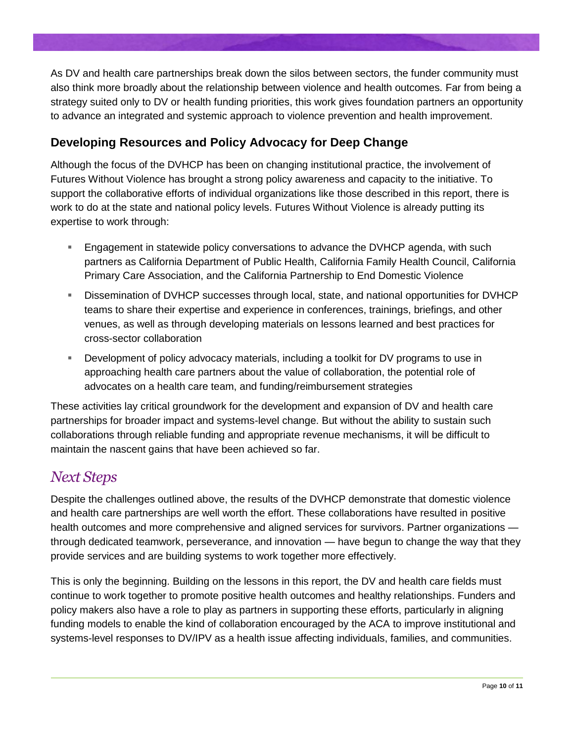As DV and health care partnerships break down the silos between sectors, the funder community must also think more broadly about the relationship between violence and health outcomes. Far from being a strategy suited only to DV or health funding priorities, this work gives foundation partners an opportunity to advance an integrated and systemic approach to violence prevention and health improvement.

### **Developing Resources and Policy Advocacy for Deep Change**

Although the focus of the DVHCP has been on changing institutional practice, the involvement of Futures Without Violence has brought a strong policy awareness and capacity to the initiative. To support the collaborative efforts of individual organizations like those described in this report, there is work to do at the state and national policy levels. Futures Without Violence is already putting its expertise to work through:

- Engagement in statewide policy conversations to advance the DVHCP agenda, with such partners as California Department of Public Health, California Family Health Council, California Primary Care Association, and the California Partnership to End Domestic Violence
- Dissemination of DVHCP successes through local, state, and national opportunities for DVHCP teams to share their expertise and experience in conferences, trainings, briefings, and other venues, as well as through developing materials on lessons learned and best practices for cross-sector collaboration
- Development of policy advocacy materials, including a toolkit for DV programs to use in approaching health care partners about the value of collaboration, the potential role of advocates on a health care team, and funding/reimbursement strategies

These activities lay critical groundwork for the development and expansion of DV and health care partnerships for broader impact and systems-level change. But without the ability to sustain such collaborations through reliable funding and appropriate revenue mechanisms, it will be difficult to maintain the nascent gains that have been achieved so far.

### *Next Steps*

Despite the challenges outlined above, the results of the DVHCP demonstrate that domestic violence and health care partnerships are well worth the effort. These collaborations have resulted in positive health outcomes and more comprehensive and aligned services for survivors. Partner organizations through dedicated teamwork, perseverance, and innovation — have begun to change the way that they provide services and are building systems to work together more effectively.

This is only the beginning. Building on the lessons in this report, the DV and health care fields must continue to work together to promote positive health outcomes and healthy relationships. Funders and policy makers also have a role to play as partners in supporting these efforts, particularly in aligning funding models to enable the kind of collaboration encouraged by the ACA to improve institutional and systems-level responses to DV/IPV as a health issue affecting individuals, families, and communities.